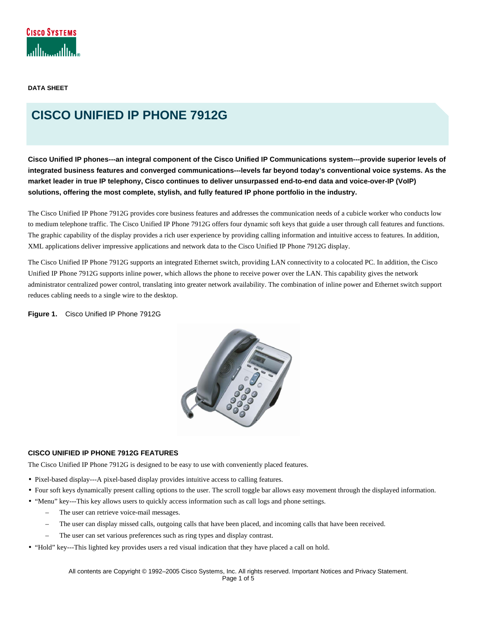**DATA SHEET** 

# **CISCO UNIFIED IP PHONE 7912G**

**Cisco Unified IP phones---an integral component of the Cisco Unified IP Communications system---provide superior levels of integrated business features and converged communications---levels far beyond today's conventional voice systems. As the market leader in true IP telephony, Cisco continues to deliver unsurpassed end-to-end data and voice-over-IP (VoIP) solutions, offering the most complete, stylish, and fully featured IP phone portfolio in the industry.**

The Cisco Unified IP Phone 7912G provides core business features and addresses the communication needs of a cubicle worker who conducts low to medium telephone traffic. The Cisco Unified IP Phone 7912G offers four dynamic soft keys that guide a user through call features and functions. The graphic capability of the display provides a rich user experience by providing calling information and intuitive access to features. In addition, XML applications deliver impressive applications and network data to the Cisco Unified IP Phone 7912G display.

The Cisco Unified IP Phone 7912G supports an integrated Ethernet switch, providing LAN connectivity to a colocated PC. In addition, the Cisco Unified IP Phone 7912G supports inline power, which allows the phone to receive power over the LAN. This capability gives the network administrator centralized power control, translating into greater network availability. The combination of inline power and Ethernet switch support reduces cabling needs to a single wire to the desktop.

**Figure 1.** Cisco Unified IP Phone 7912G



## **CISCO UNIFIED IP PHONE 7912G FEATURES**

The Cisco Unified IP Phone 7912G is designed to be easy to use with conveniently placed features.

- Pixel-based display---A pixel-based display provides intuitive access to calling features.
- Four soft keys dynamically present calling options to the user. The scroll toggle bar allows easy movement through the displayed information.
- "Menu" key---This key allows users to quickly access information such as call logs and phone settings.
	- The user can retrieve voice-mail messages.
	- The user can display missed calls, outgoing calls that have been placed, and incoming calls that have been received.
	- The user can set various preferences such as ring types and display contrast.
- "Hold" key---This lighted key provides users a red visual indication that they have placed a call on hold.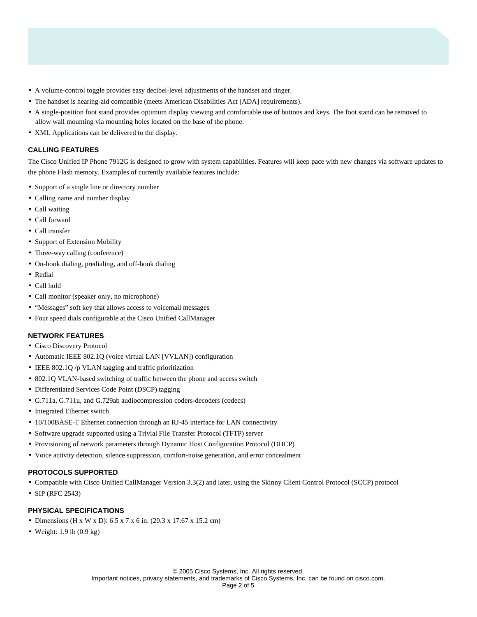- A volume-control toggle provides easy decibel-level adjustments of the handset and ringer.
- The handset is hearing-aid compatible (meets American Disabilities Act [ADA] requirements).
- A single-position foot stand provides optimum display viewing and comfortable use of buttons and keys. The foot stand can be removed to allow wall mounting via mounting holes located on the base of the phone.
- XML Applications can be delivered to the display.

# **CALLING FEATURES**

The Cisco Unified IP Phone 7912G is designed to grow with system capabilities. Features will keep pace with new changes via software updates to the phone Flash memory. Examples of currently available features include:

- Support of a single line or directory number
- Calling name and number display
- Call waiting
- Call forward
- Call transfer
- Support of Extension Mobility
- Three-way calling (conference)
- On-hook dialing, predialing, and off-hook dialing
- Redial
- Call hold
- Call monitor (speaker only, no microphone)
- "Messages" soft key that allows access to voicemail messages
- Four speed dials configurable at the Cisco Unified CallManager

## **NETWORK FEATURES**

- Cisco Discovery Protocol
- Automatic IEEE 802.1Q (voice virtual LAN [VVLAN]) configuration
- IEEE 802.1Q /p VLAN tagging and traffic prioritization
- 802.1Q VLAN-based switching of traffic between the phone and access switch
- Differentiated Services Code Point (DSCP) tagging
- G.711a, G.711u, and G.729ab audiocompression coders-decoders (codecs)
- Integrated Ethernet switch
- 10/100BASE-T Ethernet connection through an RJ-45 interface for LAN connectivity
- Software upgrade supported using a Trivial File Transfer Protocol (TFTP) server
- Provisioning of network parameters through Dynamic Host Configuration Protocol (DHCP)
- Voice activity detection, silence suppression, comfort-noise generation, and error concealment

## **PROTOCOLS SUPPORTED**

- Compatible with Cisco Unified CallManager Version 3.3(2) and later, using the Skinny Client Control Protocol (SCCP) protocol
- SIP (RFC 2543)

# **PHYSICAL SPECIFICATIONS**

- Dimensions (H x W x D): 6.5 x 7 x 6 in. (20.3 x 17.67 x 15.2 cm)
- Weight: 1.9 lb (0.9 kg)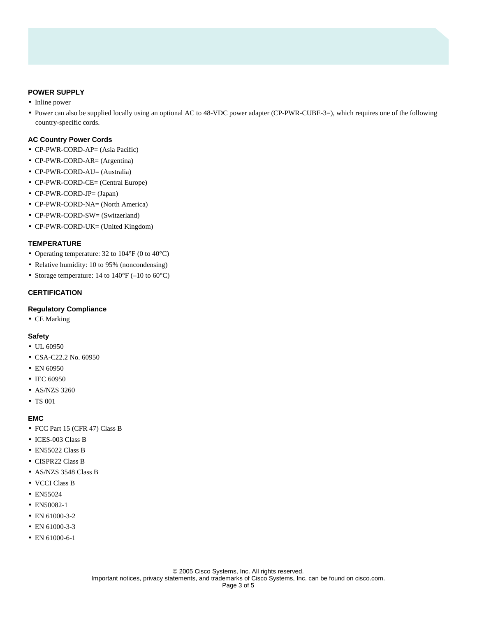# **POWER SUPPLY**

- Inline power
- Power can also be supplied locally using an optional AC to 48-VDC power adapter (CP-PWR-CUBE-3=), which requires one of the following country-specific cords.

## **AC Country Power Cords**

- CP-PWR-CORD-AP= (Asia Pacific)
- CP-PWR-CORD-AR= (Argentina)
- CP-PWR-CORD-AU= (Australia)
- CP-PWR-CORD-CE= (Central Europe)
- CP-PWR-CORD-JP= (Japan)
- CP-PWR-CORD-NA= (North America)
- CP-PWR-CORD-SW= (Switzerland)
- CP-PWR-CORD-UK= (United Kingdom)

## **TEMPERATURE**

- Operating temperature: 32 to 104°F (0 to 40°C)
- Relative humidity: 10 to 95% (noncondensing)
- Storage temperature: 14 to 140°F (-10 to 60°C)

# **CERTIFICATION**

# **Regulatory Compliance**

• CE Marking

## **Safety**

- UL 60950
- CSA-C22.2 No. 60950
- EN 60950
- IEC 60950
- AS/NZS 3260
- TS 001

#### **EMC**

- FCC Part 15 (CFR 47) Class B
- ICES-003 Class B
- EN55022 Class B
- CISPR22 Class B
- AS/NZS 3548 Class B
- VCCI Class B
- EN55024
- EN50082-1
- EN 61000-3-2
- EN 61000-3-3
- EN 61000-6-1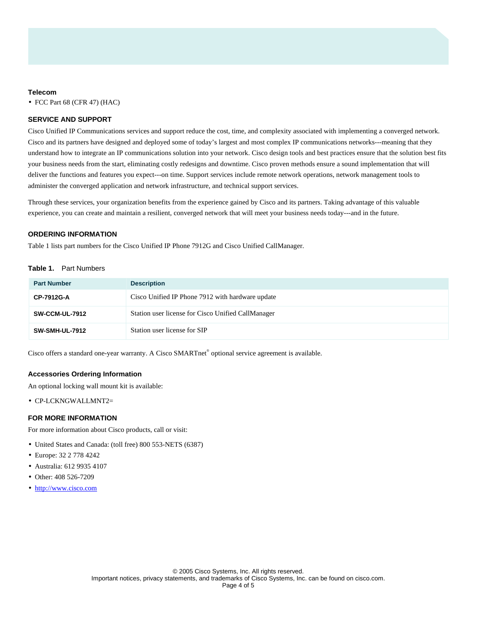#### **Telecom**

• FCC Part 68 (CFR 47) (HAC)

# **SERVICE AND SUPPORT**

Cisco Unified IP Communications services and support reduce the cost, time, and complexity associated with implementing a converged network. Cisco and its partners have designed and deployed some of today's largest and most complex IP communications networks---meaning that they understand how to integrate an IP communications solution into your network. Cisco design tools and best practices ensure that the solution best fits your business needs from the start, eliminating costly redesigns and downtime. Cisco proven methods ensure a sound implementation that will deliver the functions and features you expect---on time. Support services include remote network operations, network management tools to administer the converged application and network infrastructure, and technical support services.

Through these services, your organization benefits from the experience gained by Cisco and its partners. Taking advantage of this valuable experience, you can create and maintain a resilient, converged network that will meet your business needs today---and in the future.

#### **ORDERING INFORMATION**

Table 1 lists part numbers for the Cisco Unified IP Phone 7912G and Cisco Unified CallManager.

## **Table 1.** Part Numbers

| <b>Part Number</b>    | <b>Description</b>                                 |
|-----------------------|----------------------------------------------------|
| CP-7912G-A            | Cisco Unified IP Phone 7912 with hardware update   |
| <b>SW-CCM-UL-7912</b> | Station user license for Cisco Unified CallManager |
| <b>SW-SMH-UL-7912</b> | Station user license for SIP                       |

Cisco offers a standard one-year warranty. A Cisco SMARTnet® optional service agreement is available.

#### **Accessories Ordering Information**

An optional locking wall mount kit is available:

• CP-LCKNGWALLMNT2=

# **FOR MORE INFORMATION**

For more information about Cisco products, call or visit:

- United States and Canada: (toll free) 800 553-NETS (6387)
- Europe: 32 2 778 4242
- Australia: 612 9935 4107
- Other: 408 526-7209
- http://www.cisco.com